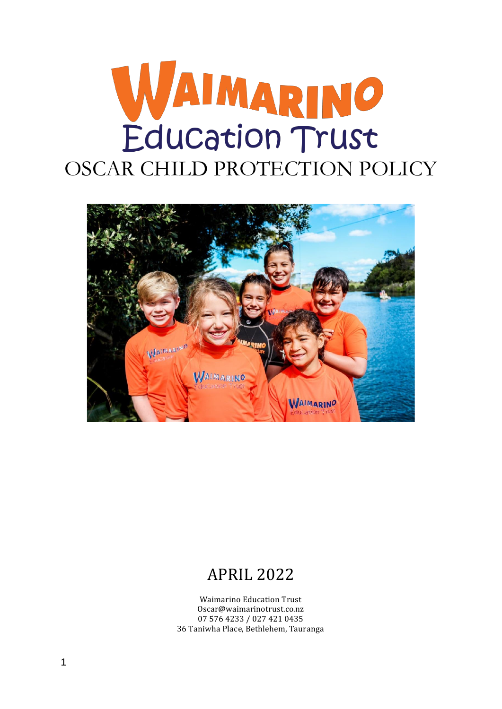# WAIMARINO Education Trust



# APRIL 2022

Waimarino Education Trust Oscar@waimarinotrust.co.nz 07 576 4233 / 027 421 0435 36 Taniwha Place, Bethlehem, Tauranga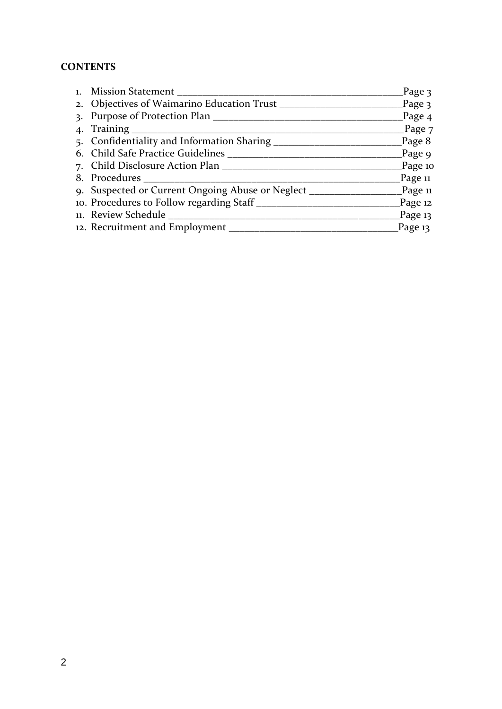# **CONTENTS**

| 1. Mission Statement                                                              | Page 3               |
|-----------------------------------------------------------------------------------|----------------------|
|                                                                                   | $\frac{1}{2}$ Page 3 |
| 3. Purpose of Protection Plan                                                     | Page <sub>4</sub>    |
|                                                                                   | $\equiv$ Page 7      |
|                                                                                   | Page 8               |
|                                                                                   | Page 9               |
|                                                                                   | Page 10              |
|                                                                                   | _Page 11             |
| 9. Suspected or Current Ongoing Abuse or Neglect _________________________Page 11 |                      |
| 10. Procedures to Follow regarding Staff __________                               | Page 12              |
| 11. Review Schedule                                                               | $\_\$ Page 13        |
| 12. Recruitment and Employment _______                                            | Page 13              |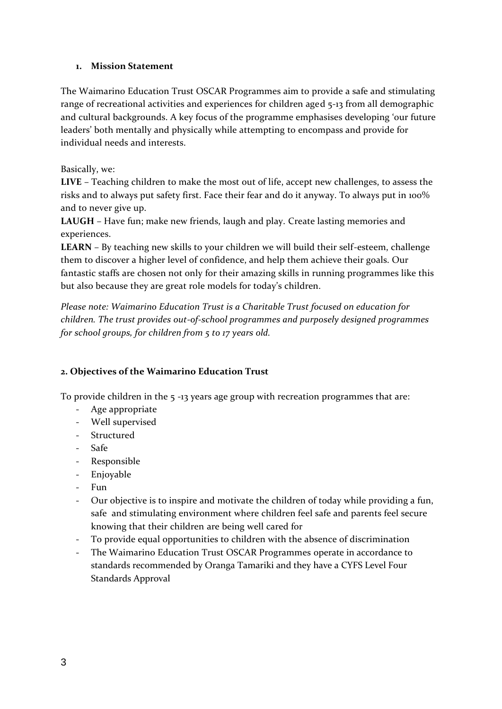#### **1. Mission Statement**

The Waimarino Education Trust OSCAR Programmes aim to provide a safe and stimulating range of recreational activities and experiences for children aged 5-13 from all demographic and cultural backgrounds. A key focus of the programme emphasises developing 'our future leaders' both mentally and physically while attempting to encompass and provide for individual needs and interests.

#### Basically, we:

**LIVE** – Teaching children to make the most out of life, accept new challenges, to assess the risks and to always put safety first. Face their fear and do it anyway. To always put in 100% and to never give up.

**LAUGH** – Have fun; make new friends, laugh and play. Create lasting memories and experiences.

**LEARN** – By teaching new skills to your children we will build their self-esteem, challenge them to discover a higher level of confidence, and help them achieve their goals. Our fantastic staffs are chosen not only for their amazing skills in running programmes like this but also because they are great role models for today's children.

*Please note: Waimarino Education Trust is a Charitable Trust focused on education for children. The trust provides out-of-school programmes and purposely designed programmes for school groups, for children from 5 to 17 years old.*

#### **2. Objectives of the Waimarino Education Trust**

To provide children in the 5 -13 years age group with recreation programmes that are:

- Age appropriate
- Well supervised
- Structured
- Safe
- Responsible
- Enjoyable
- Fun
- Our objective is to inspire and motivate the children of today while providing a fun, safe and stimulating environment where children feel safe and parents feel secure knowing that their children are being well cared for
- To provide equal opportunities to children with the absence of discrimination
- The Waimarino Education Trust OSCAR Programmes operate in accordance to standards recommended by Oranga Tamariki and they have a CYFS Level Four Standards Approval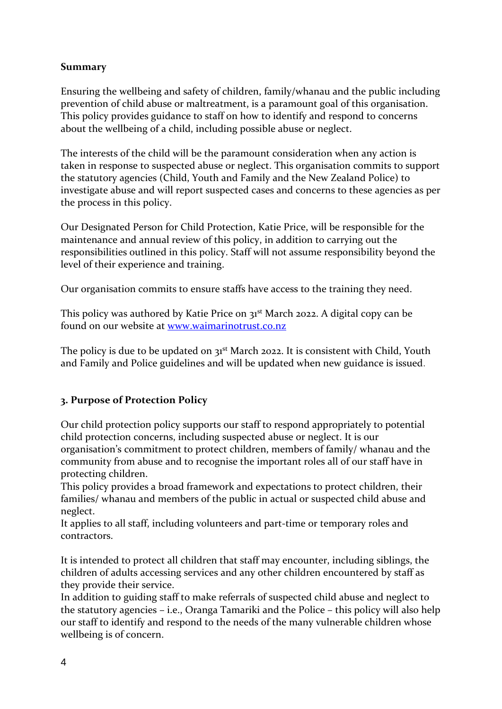# **Summary**

Ensuring the wellbeing and safety of children, family/whanau and the public including prevention of child abuse or maltreatment, is a paramount goal of this organisation. This policy provides guidance to staff on how to identify and respond to concerns about the wellbeing of a child, including possible abuse or neglect.

The interests of the child will be the paramount consideration when any action is taken in response to suspected abuse or neglect. This organisation commits to support the statutory agencies (Child, Youth and Family and the New Zealand Police) to investigate abuse and will report suspected cases and concerns to these agencies as per the process in this policy.

Our Designated Person for Child Protection, Katie Price, will be responsible for the maintenance and annual review of this policy, in addition to carrying out the responsibilities outlined in this policy. Staff will not assume responsibility beyond the level of their experience and training.

Our organisation commits to ensure staffs have access to the training they need.

This policy was authored by Katie Price on 31<sup>st</sup> March 2022. A digital copy can be found on our website at [www.waimarinotrust.co.nz](http://www.waimarinotrust.co.nz/)

The policy is due to be updated on 31<sup>st</sup> March 2022. It is consistent with Child, Youth and Family and Police guidelines and will be updated when new guidance is issued.

#### **3. Purpose of Protection Policy**

Our child protection policy supports our staff to respond appropriately to potential child protection concerns, including suspected abuse or neglect. It is our organisation's commitment to protect children, members of family/ whanau and the community from abuse and to recognise the important roles all of our staff have in protecting children.

This policy provides a broad framework and expectations to protect children, their families/ whanau and members of the public in actual or suspected child abuse and neglect.

It applies to all staff, including volunteers and part-time or temporary roles and contractors.

It is intended to protect all children that staff may encounter, including siblings, the children of adults accessing services and any other children encountered by staff as they provide their service.

In addition to guiding staff to make referrals of suspected child abuse and neglect to the statutory agencies – i.e., Oranga Tamariki and the Police – this policy will also help our staff to identify and respond to the needs of the many vulnerable children whose wellbeing is of concern.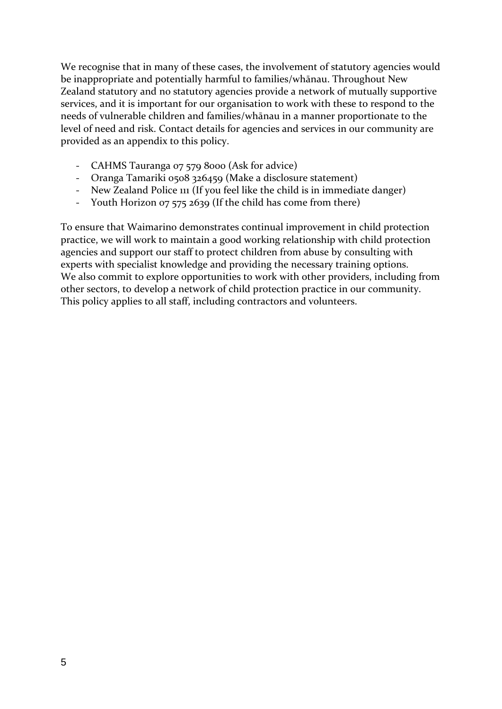We recognise that in many of these cases, the involvement of statutory agencies would be inappropriate and potentially harmful to families/whānau. Throughout New Zealand statutory and no statutory agencies provide a network of mutually supportive services, and it is important for our organisation to work with these to respond to the needs of vulnerable children and families/whānau in a manner proportionate to the level of need and risk. Contact details for agencies and services in our community are provided as an appendix to this policy.

- CAHMS Tauranga 07 579 8000 (Ask for advice)
- Oranga Tamariki 0508 326459 (Make a disclosure statement)
- New Zealand Police 111 (If you feel like the child is in immediate danger)
- Youth Horizon 07 575 2639 (If the child has come from there)

To ensure that Waimarino demonstrates continual improvement in child protection practice, we will work to maintain a good working relationship with child protection agencies and support our staff to protect children from abuse by consulting with experts with specialist knowledge and providing the necessary training options. We also commit to explore opportunities to work with other providers, including from other sectors, to develop a network of child protection practice in our community. This policy applies to all staff, including contractors and volunteers.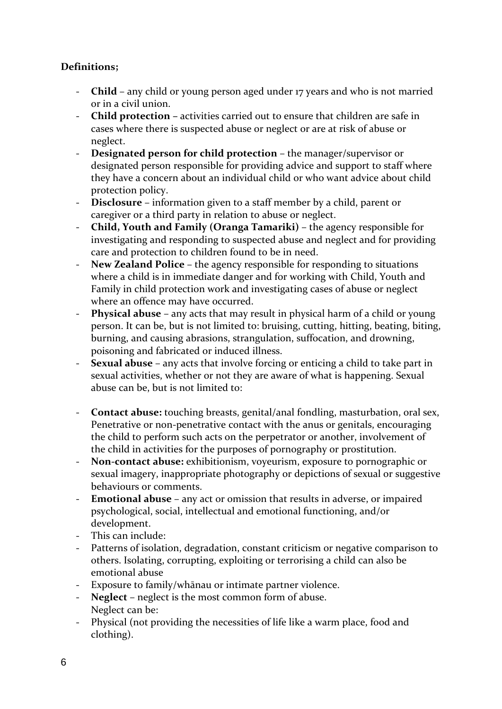# **Definitions;**

- **Child**  any child or young person aged under 17 years and who is not married or in a civil union.
- **Child protection –** activities carried out to ensure that children are safe in cases where there is suspected abuse or neglect or are at risk of abuse or neglect.
- **Designated person for child protection**  the manager/supervisor or designated person responsible for providing advice and support to staff where they have a concern about an individual child or who want advice about child protection policy.
- **Disclosure**  information given to a staff member by a child, parent or caregiver or a third party in relation to abuse or neglect.
- **Child, Youth and Family (Oranga Tamariki)**  the agency responsible for investigating and responding to suspected abuse and neglect and for providing care and protection to children found to be in need.
- **New Zealand Police**  the agency responsible for responding to situations where a child is in immediate danger and for working with Child, Youth and Family in child protection work and investigating cases of abuse or neglect where an offence may have occurred.
- **Physical abuse**  any acts that may result in physical harm of a child or young person. It can be, but is not limited to: bruising, cutting, hitting, beating, biting, burning, and causing abrasions, strangulation, suffocation, and drowning, poisoning and fabricated or induced illness.
- **Sexual abuse**  any acts that involve forcing or enticing a child to take part in sexual activities, whether or not they are aware of what is happening. Sexual abuse can be, but is not limited to:
- **Contact abuse:** touching breasts, genital/anal fondling, masturbation, oral sex, Penetrative or non-penetrative contact with the anus or genitals, encouraging the child to perform such acts on the perpetrator or another, involvement of the child in activities for the purposes of pornography or prostitution.
- **Non-contact abuse:** exhibitionism, voyeurism, exposure to pornographic or sexual imagery, inappropriate photography or depictions of sexual or suggestive behaviours or comments.
- **Emotional abuse**  any act or omission that results in adverse, or impaired psychological, social, intellectual and emotional functioning, and/or development.
- This can include:
- Patterns of isolation, degradation, constant criticism or negative comparison to others. Isolating, corrupting, exploiting or terrorising a child can also be emotional abuse
- Exposure to family/whānau or intimate partner violence.
- **Neglect**  neglect is the most common form of abuse. Neglect can be:
- Physical (not providing the necessities of life like a warm place, food and clothing).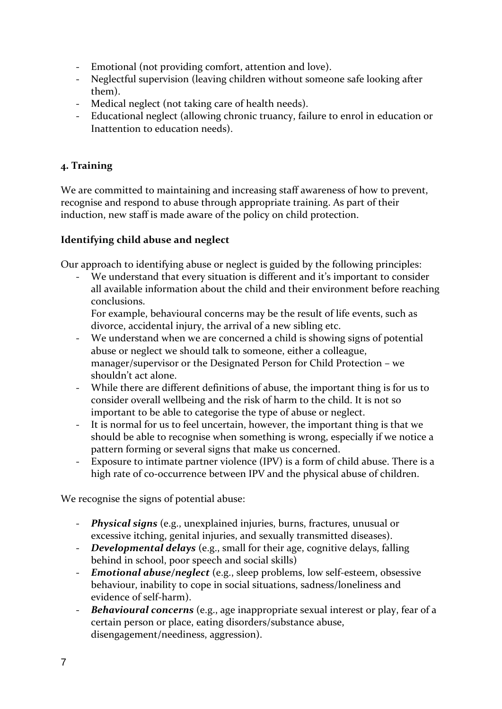- Emotional (not providing comfort, attention and love).
- Neglectful supervision (leaving children without someone safe looking after them).
- Medical neglect (not taking care of health needs).
- Educational neglect (allowing chronic truancy, failure to enrol in education or Inattention to education needs).

# **4. Training**

We are committed to maintaining and increasing staff awareness of how to prevent, recognise and respond to abuse through appropriate training. As part of their induction, new staff is made aware of the policy on child protection.

## **Identifying child abuse and neglect**

Our approach to identifying abuse or neglect is guided by the following principles:

We understand that every situation is different and it's important to consider all available information about the child and their environment before reaching conclusions.

 For example, behavioural concerns may be the result of life events, such as divorce, accidental injury, the arrival of a new sibling etc.

- We understand when we are concerned a child is showing signs of potential abuse or neglect we should talk to someone, either a colleague, manager/supervisor or the Designated Person for Child Protection – we shouldn't act alone.
- While there are different definitions of abuse, the important thing is for us to consider overall wellbeing and the risk of harm to the child. It is not so important to be able to categorise the type of abuse or neglect.
- It is normal for us to feel uncertain, however, the important thing is that we should be able to recognise when something is wrong, especially if we notice a pattern forming or several signs that make us concerned.
- Exposure to intimate partner violence (IPV) is a form of child abuse. There is a high rate of co-occurrence between IPV and the physical abuse of children.

We recognise the signs of potential abuse:

- *Physical signs* (e.g., unexplained injuries, burns, fractures, unusual or excessive itching, genital injuries, and sexually transmitted diseases).
- *Developmental delays* (e.g., small for their age, cognitive delays, falling behind in school, poor speech and social skills)
- *Emotional abuse/neglect* (e.g., sleep problems, low self-esteem, obsessive behaviour, inability to cope in social situations, sadness/loneliness and evidence of self-harm).
- *Behavioural concerns* (e.g., age inappropriate sexual interest or play, fear of a certain person or place, eating disorders/substance abuse, disengagement/neediness, aggression).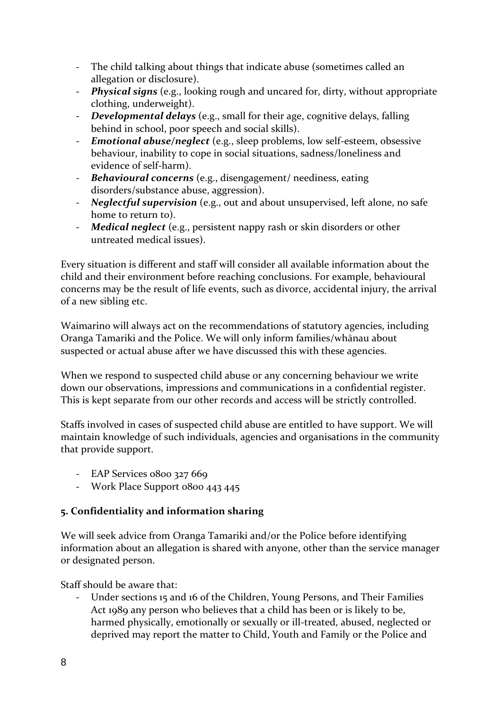- The child talking about things that indicate abuse (sometimes called an allegation or disclosure).
- *Physical signs* (e.g., looking rough and uncared for, dirty, without appropriate clothing, underweight).
- *Developmental delays* (e.g., small for their age, cognitive delays, falling behind in school, poor speech and social skills).
- *Emotional abuse/neglect* (e.g., sleep problems, low self-esteem, obsessive behaviour, inability to cope in social situations, sadness/loneliness and evidence of self-harm).
- *Behavioural concerns* (e.g., disengagement/ neediness, eating disorders/substance abuse, aggression).
- *Neglectful supervision* (e.g., out and about unsupervised, left alone, no safe home to return to).
- *Medical neglect* (e.g., persistent nappy rash or skin disorders or other untreated medical issues).

Every situation is different and staff will consider all available information about the child and their environment before reaching conclusions. For example, behavioural concerns may be the result of life events, such as divorce, accidental injury, the arrival of a new sibling etc.

Waimarino will always act on the recommendations of statutory agencies, including Oranga Tamariki and the Police. We will only inform families/whānau about suspected or actual abuse after we have discussed this with these agencies.

When we respond to suspected child abuse or any concerning behaviour we write down our observations, impressions and communications in a confidential register. This is kept separate from our other records and access will be strictly controlled.

Staffs involved in cases of suspected child abuse are entitled to have support. We will maintain knowledge of such individuals, agencies and organisations in the community that provide support.

- EAP Services 0800 327 669
- Work Place Support 0800 443 445

# **5. Confidentiality and information sharing**

We will seek advice from Oranga Tamariki and/or the Police before identifying information about an allegation is shared with anyone, other than the service manager or designated person.

Staff should be aware that:

- Under sections 15 and 16 of the Children, Young Persons, and Their Families Act 1989 any person who believes that a child has been or is likely to be, harmed physically, emotionally or sexually or ill-treated, abused, neglected or deprived may report the matter to Child, Youth and Family or the Police and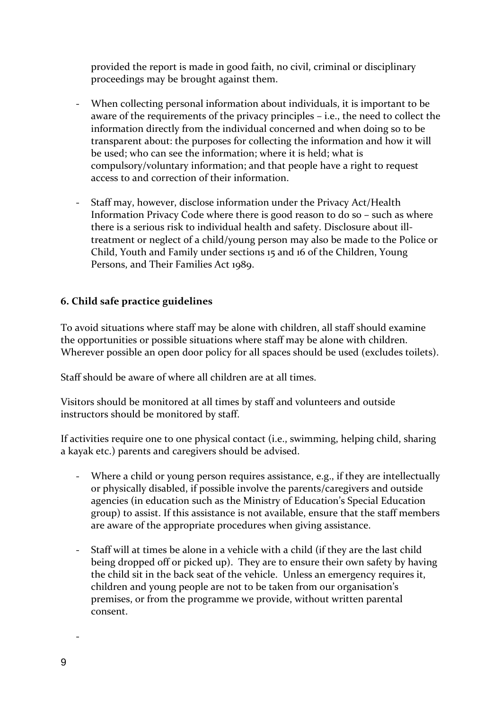provided the report is made in good faith, no civil, criminal or disciplinary proceedings may be brought against them.

- When collecting personal information about individuals, it is important to be aware of the requirements of the privacy principles – i.e., the need to collect the information directly from the individual concerned and when doing so to be transparent about: the purposes for collecting the information and how it will be used; who can see the information; where it is held; what is compulsory/voluntary information; and that people have a right to request access to and correction of their information.
- Staff may, however, disclose information under the Privacy Act/Health Information Privacy Code where there is good reason to do so – such as where there is a serious risk to individual health and safety. Disclosure about illtreatment or neglect of a child/young person may also be made to the Police or Child, Youth and Family under sections 15 and 16 of the Children, Young Persons, and Their Families Act 1989.

#### **6. Child safe practice guidelines**

To avoid situations where staff may be alone with children, all staff should examine the opportunities or possible situations where staff may be alone with children. Wherever possible an open door policy for all spaces should be used (excludes toilets).

Staff should be aware of where all children are at all times.

Visitors should be monitored at all times by staff and volunteers and outside instructors should be monitored by staff.

If activities require one to one physical contact (i.e., swimming, helping child, sharing a kayak etc.) parents and caregivers should be advised.

- Where a child or young person requires assistance, e.g., if they are intellectually or physically disabled, if possible involve the parents/caregivers and outside agencies (in education such as the Ministry of Education's Special Education group) to assist. If this assistance is not available, ensure that the staff members are aware of the appropriate procedures when giving assistance.
- Staff will at times be alone in a vehicle with a child (if they are the last child being dropped off or picked up). They are to ensure their own safety by having the child sit in the back seat of the vehicle. Unless an emergency requires it, children and young people are not to be taken from our organisation's premises, or from the programme we provide, without written parental consent.

-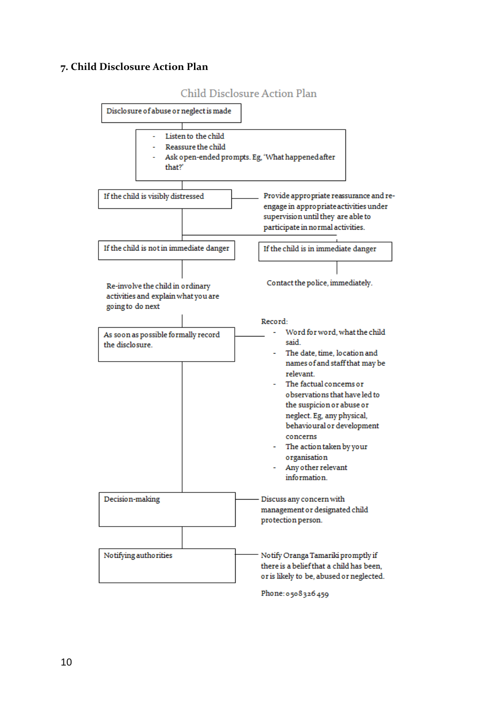#### **7. Child Disclosure Action Plan**

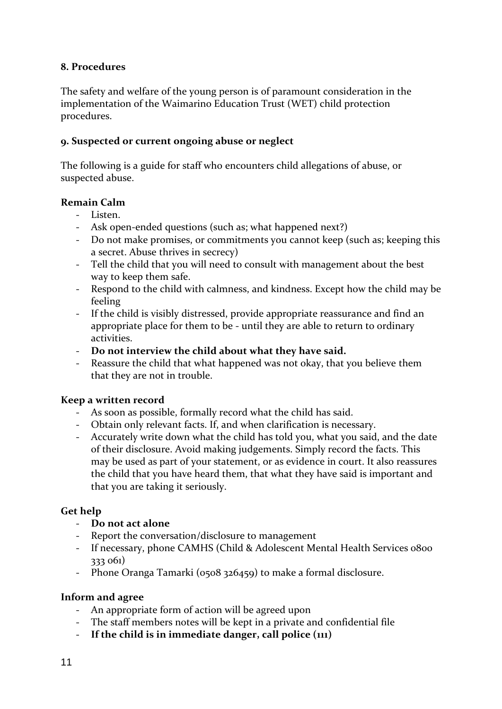#### **8. Procedures**

The safety and welfare of the young person is of paramount consideration in the implementation of the Waimarino Education Trust (WET) child protection procedures.

#### **9. Suspected or current ongoing abuse or neglect**

The following is a guide for staff who encounters child allegations of abuse, or suspected abuse.

## **Remain Calm**

- Listen.
- Ask open-ended questions (such as; what happened next?)
- Do not make promises, or commitments you cannot keep (such as; keeping this a secret. Abuse thrives in secrecy)
- Tell the child that you will need to consult with management about the best way to keep them safe.
- Respond to the child with calmness, and kindness. Except how the child may be feeling
- If the child is visibly distressed, provide appropriate reassurance and find an appropriate place for them to be - until they are able to return to ordinary activities.
- **Do not interview the child about what they have said.**
- Reassure the child that what happened was not okay, that you believe them that they are not in trouble.

#### **Keep a written record**

- As soon as possible, formally record what the child has said.
- Obtain only relevant facts. If, and when clarification is necessary.
- Accurately write down what the child has told you, what you said, and the date of their disclosure. Avoid making judgements. Simply record the facts. This may be used as part of your statement, or as evidence in court. It also reassures the child that you have heard them, that what they have said is important and that you are taking it seriously.

# **Get help**

- **Do not act alone**
- Report the conversation/disclosure to management
- If necessary, phone CAMHS (Child & Adolescent Mental Health Services 0800 333 061)
- Phone Oranga Tamarki (0508 326459) to make a formal disclosure.

#### **Inform and agree**

- An appropriate form of action will be agreed upon
- The staff members notes will be kept in a private and confidential file
- **If the child is in immediate danger, call police (111)**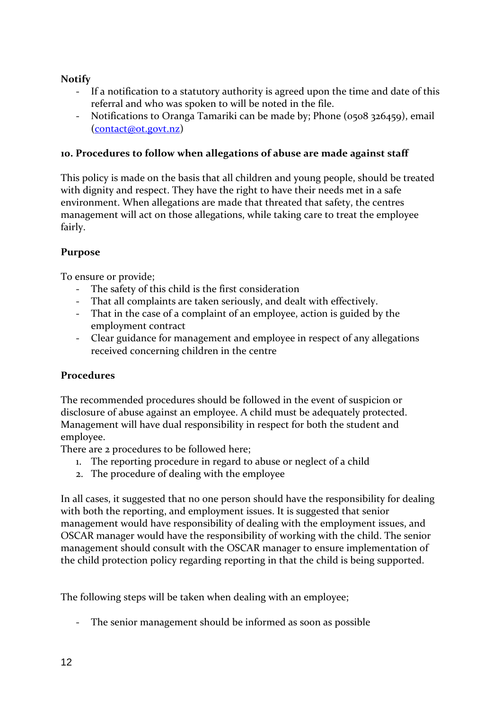# **Notify**

- If a notification to a statutory authority is agreed upon the time and date of this referral and who was spoken to will be noted in the file.
- Notifications to Oranga Tamariki can be made by; Phone (0508 326459), email [\(contact@ot.govt.nz\)](mailto:contact@ot.govt.nz)

#### **10. Procedures to follow when allegations of abuse are made against staff**

This policy is made on the basis that all children and young people, should be treated with dignity and respect. They have the right to have their needs met in a safe environment. When allegations are made that threated that safety, the centres management will act on those allegations, while taking care to treat the employee fairly.

## **Purpose**

To ensure or provide;

- The safety of this child is the first consideration
- That all complaints are taken seriously, and dealt with effectively.
- That in the case of a complaint of an employee, action is guided by the employment contract
- Clear guidance for management and employee in respect of any allegations received concerning children in the centre

# **Procedures**

The recommended procedures should be followed in the event of suspicion or disclosure of abuse against an employee. A child must be adequately protected. Management will have dual responsibility in respect for both the student and employee.

There are 2 procedures to be followed here;

- 1. The reporting procedure in regard to abuse or neglect of a child
- 2. The procedure of dealing with the employee

In all cases, it suggested that no one person should have the responsibility for dealing with both the reporting, and employment issues. It is suggested that senior management would have responsibility of dealing with the employment issues, and OSCAR manager would have the responsibility of working with the child. The senior management should consult with the OSCAR manager to ensure implementation of the child protection policy regarding reporting in that the child is being supported.

The following steps will be taken when dealing with an employee;

The senior management should be informed as soon as possible